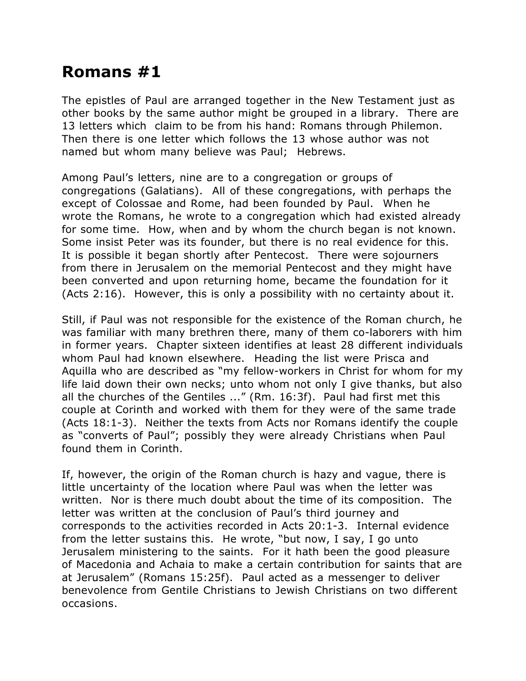## **Romans #1**

The epistles of Paul are arranged together in the New Testament just as other books by the same author might be grouped in a library. There are 13 letters which claim to be from his hand: Romans through Philemon. Then there is one letter which follows the 13 whose author was not named but whom many believe was Paul; Hebrews.

Among Paul's letters, nine are to a congregation or groups of congregations (Galatians). All of these congregations, with perhaps the except of Colossae and Rome, had been founded by Paul. When he wrote the Romans, he wrote to a congregation which had existed already for some time. How, when and by whom the church began is not known. Some insist Peter was its founder, but there is no real evidence for this. It is possible it began shortly after Pentecost. There were sojourners from there in Jerusalem on the memorial Pentecost and they might have been converted and upon returning home, became the foundation for it (Acts 2:16). However, this is only a possibility with no certainty about it.

Still, if Paul was not responsible for the existence of the Roman church, he was familiar with many brethren there, many of them co-laborers with him in former years. Chapter sixteen identifies at least 28 different individuals whom Paul had known elsewhere. Heading the list were Prisca and Aquilla who are described as "my fellow-workers in Christ for whom for my life laid down their own necks; unto whom not only I give thanks, but also all the churches of the Gentiles ..." (Rm. 16:3f). Paul had first met this couple at Corinth and worked with them for they were of the same trade (Acts 18:1-3). Neither the texts from Acts nor Romans identify the couple as "converts of Paul"; possibly they were already Christians when Paul found them in Corinth.

If, however, the origin of the Roman church is hazy and vague, there is little uncertainty of the location where Paul was when the letter was written. Nor is there much doubt about the time of its composition. The letter was written at the conclusion of Paul's third journey and corresponds to the activities recorded in Acts 20:1-3. Internal evidence from the letter sustains this. He wrote, "but now, I say, I go unto Jerusalem ministering to the saints. For it hath been the good pleasure of Macedonia and Achaia to make a certain contribution for saints that are at Jerusalem" (Romans 15:25f). Paul acted as a messenger to deliver benevolence from Gentile Christians to Jewish Christians on two different occasions.